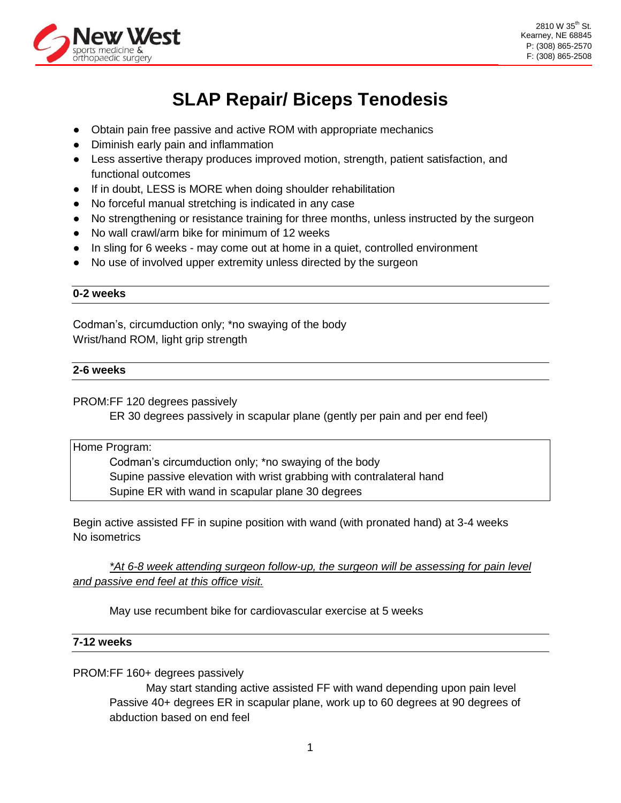

# **SLAP Repair/ Biceps Tenodesis**

- Obtain pain free passive and active ROM with appropriate mechanics
- Diminish early pain and inflammation
- Less assertive therapy produces improved motion, strength, patient satisfaction, and functional outcomes
- If in doubt, LESS is MORE when doing shoulder rehabilitation
- No forceful manual stretching is indicated in any case
- No strengthening or resistance training for three months, unless instructed by the surgeon
- No wall crawl/arm bike for minimum of 12 weeks
- In sling for 6 weeks may come out at home in a quiet, controlled environment
- No use of involved upper extremity unless directed by the surgeon

#### **0-2 weeks**

Codman's, circumduction only; \*no swaying of the body Wrist/hand ROM, light grip strength

#### **2-6 weeks**

PROM:FF 120 degrees passively

ER 30 degrees passively in scapular plane (gently per pain and per end feel)

Home Program:

Codman's circumduction only; \*no swaying of the body Supine passive elevation with wrist grabbing with contralateral hand Supine ER with wand in scapular plane 30 degrees

Begin active assisted FF in supine position with wand (with pronated hand) at 3-4 weeks No isometrics

*\*At 6-8 week attending surgeon follow-up, the surgeon will be assessing for pain level and passive end feel at this office visit.*

May use recumbent bike for cardiovascular exercise at 5 weeks

## **7-12 weeks**

PROM:FF 160+ degrees passively

May start standing active assisted FF with wand depending upon pain level Passive 40+ degrees ER in scapular plane, work up to 60 degrees at 90 degrees of abduction based on end feel